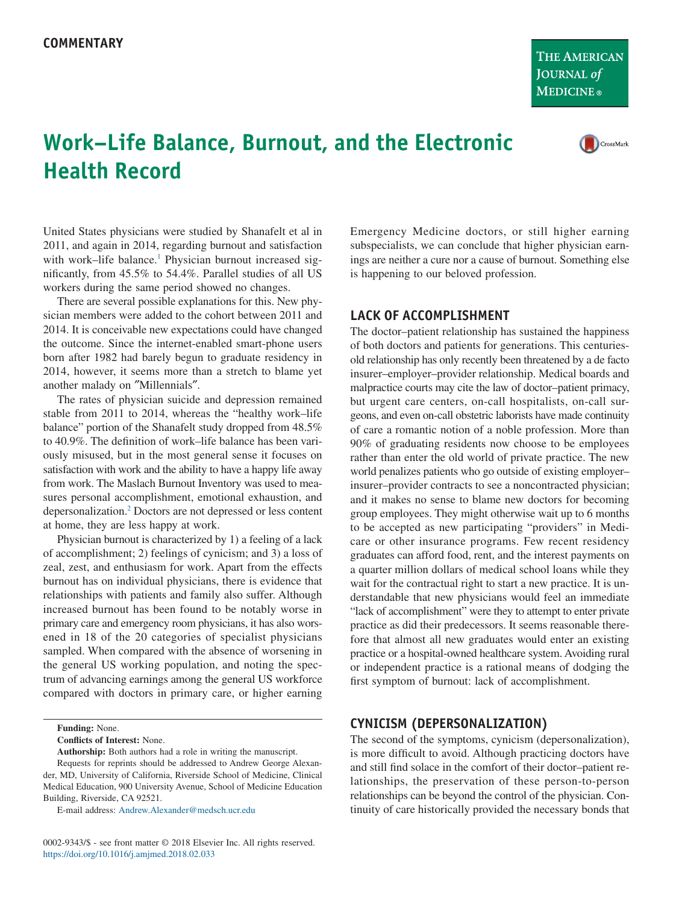**THE AMERICAN** JOURNAL of **MEDICINE**®

# **Work–Life Balance, Burnout, and the Electronic Health Record**

United States physicians were studied by Shanafelt et al in 2011, and again in 2014, regarding burnout and satisfaction with work-life balance.<sup>1</sup> Physician burnout increased significantly, from 45.5% to 54.4%. Parallel studies of all US workers during the same period showed no changes.

There are several possible explanations for this. New physician members were added to the cohort between 2011 and 2014. It is conceivable new expectations could have changed the outcome. Since the internet-enabled smart-phone users born after 1982 had barely begun to graduate residency in 2014, however, it seems more than a stretch to blame yet another malady on ″Millennials″.

The rates of physician suicide and depression remained stable from 2011 to 2014, whereas the "healthy work–life balance" portion of the Shanafelt study dropped from 48.5% to 40.9%. The definition of work–life balance has been variously misused, but in the most general sense it focuses on satisfaction with work and the ability to have a happy life away from work. The Maslach Burnout Inventory was used to measures personal accomplishment, emotional exhaustion, and depersonalization[.2](#page-1-1) Doctors are not depressed or less content at home, they are less happy at work.

Physician burnout is characterized by 1) a feeling of a lack of accomplishment; 2) feelings of cynicism; and 3) a loss of zeal, zest, and enthusiasm for work. Apart from the effects burnout has on individual physicians, there is evidence that relationships with patients and family also suffer. Although increased burnout has been found to be notably worse in primary care and emergency room physicians, it has also worsened in 18 of the 20 categories of specialist physicians sampled. When compared with the absence of worsening in the general US working population, and noting the spectrum of advancing earnings among the general US workforce compared with doctors in primary care, or higher earning

**Funding:** None.

**Conflicts of Interest:** None.

**Authorship:** Both authors had a role in writing the manuscript.

E-mail address: [Andrew.Alexander@medsch.ucr.edu](mailto:Andrew.Alexander@medsch.ucr.edu)

0002-9343/\$ - see front matter © 2018 Elsevier Inc. All rights reserved. https://doi.org/10.1016/j.amjmed.2018.02.033

Emergency Medicine doctors, or still higher earning subspecialists, we can conclude that higher physician earnings are neither a cure nor a cause of burnout. Something else is happening to our beloved profession.

### **LACK OF ACCOMPLISHMENT**

The doctor–patient relationship has sustained the happiness of both doctors and patients for generations. This centuriesold relationship has only recently been threatened by a de facto insurer–employer–provider relationship. Medical boards and malpractice courts may cite the law of doctor–patient primacy, but urgent care centers, on-call hospitalists, on-call surgeons, and even on-call obstetric laborists have made continuity of care a romantic notion of a noble profession. More than 90% of graduating residents now choose to be employees rather than enter the old world of private practice. The new world penalizes patients who go outside of existing employer– insurer–provider contracts to see a noncontracted physician; and it makes no sense to blame new doctors for becoming group employees. They might otherwise wait up to 6 months to be accepted as new participating "providers" in Medicare or other insurance programs. Few recent residency graduates can afford food, rent, and the interest payments on a quarter million dollars of medical school loans while they wait for the contractual right to start a new practice. It is understandable that new physicians would feel an immediate "lack of accomplishment" were they to attempt to enter private practice as did their predecessors. It seems reasonable therefore that almost all new graduates would enter an existing practice or a hospital-owned healthcare system. Avoiding rural or independent practice is a rational means of dodging the first symptom of burnout: lack of accomplishment.

# **CYNICISM (DEPERSONALIZATION)**

The second of the symptoms, cynicism (depersonalization), is more difficult to avoid. Although practicing doctors have and still find solace in the comfort of their doctor–patient relationships, the preservation of these person-to-person relationships can be beyond the control of the physician. Continuity of care historically provided the necessary bonds that

Requests for reprints should be addressed to Andrew George Alexander, MD, University of California, Riverside School of Medicine, Clinical Medical Education, 900 University Avenue, School of Medicine Education Building, Riverside, CA 92521.